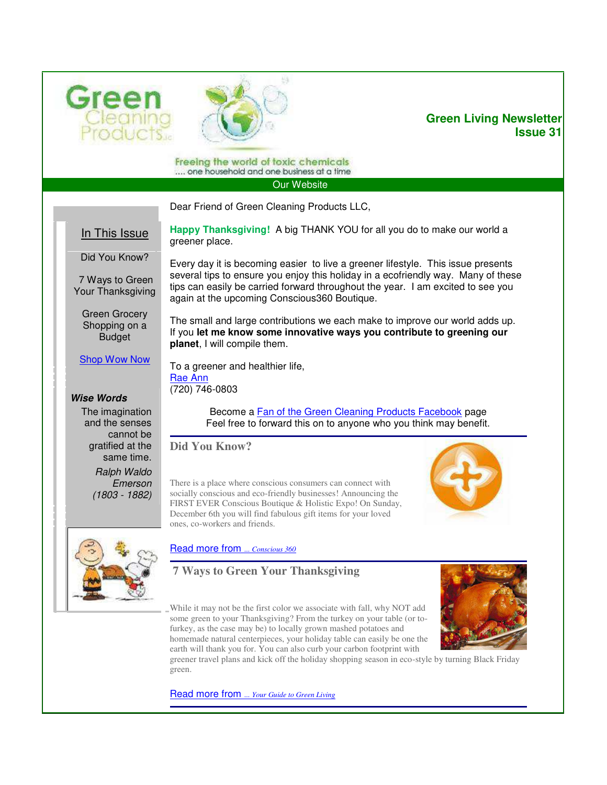



## **Green Living Newsletter Issue 31**

Freeing the world of toxic chemicals .... one household and one business at a time

[Our Website](http://greencleaningproductsllc.com/) 

Dear Friend of Green Cleaning Products LLC,

again at the upcoming Conscious360 Boutique.

In This Issue

Did You Know?

 7 Ways to Green Your Thanksgiving

> Green Grocery Shopping on a Budget

[Shop Wow Now](http://greencleaningproductsllc.com/shop-green-cleaning-products-now/)

The small and large contributions we each make to improve our world adds up. If you **let me know some innovative ways you contribute to greening our planet**, I will compile them.

**Happy Thanksgiving!** A big THANK YOU for all you do to make our world a

Every day it is becoming easier to live a greener lifestyle. This issue presents several tips to ensure you enjoy this holiday in a ecofriendly way. Many of these tips can easily be carried forward throughout the year. I am excited to see you

To a greener and healthier life, [Rae Ann](mailto:RaeAnn@GreenCleaningProductsLLC.com)  (720) 746-0803

*Wise Words*

The imagination and the senses cannot be gratified at the same time.

> *Ralph Waldo Emerson (1803 - 1882)*

Become a [Fan of the Green Cleaning Products Facebook](http://www.facebook.com/CleansGreen) page Feel free to forward this on to anyone who you think may benefit.

**Did You Know?** 

greener place.

There is a place where conscious consumers can connect with socially conscious and eco-friendly businesses! Announcing the FIRST EVER Conscious Boutique & Holistic Expo! On Sunday, December 6th you will find fabulous gift items for your loved ones, co-workers and friends.





[Read more from](http://conscious360.com/content/boutique) *... Conscious 360* 

## **7 Ways to Green Your Thanksgiving**

While it may not be the first color we associate with fall, why NOT add some green to your Thanksgiving? From the turkey on your table (or tofurkey, as the case may be) to locally grown mashed potatoes and homemade natural centerpieces, your holiday table can easily be one the earth will thank you for. You can also curb your carbon footprint with



greener travel plans and kick off the holiday shopping season in eco-style by turning Black Friday green.

[Read more from](http://www.greenyour.com/lifestyle/events/thanksgiving/tips?category=9480) *... Your Guide to Green Living*